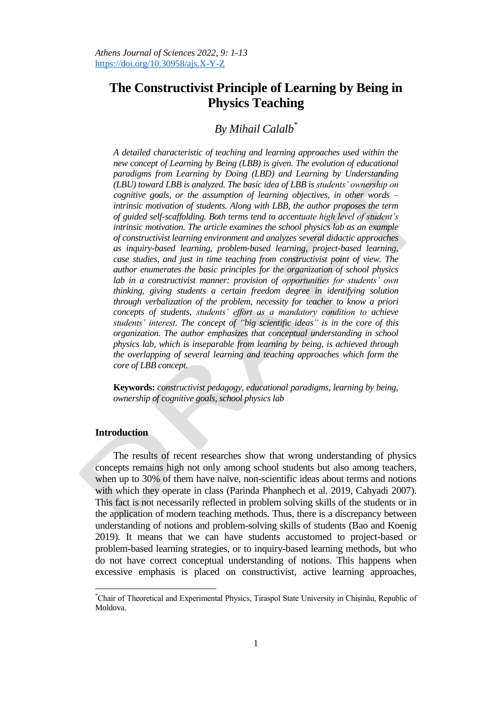# **The Constructivist Principle of Learning by Being in Physics Teaching**

# *By Mihail Calalb\**

*A detailed characteristic of teaching and learning approaches used within the new concept of Learning by Being (LBB) is given. The evolution of educational paradigms from Learning by Doing (LBD) and Learning by Understanding (LBU) toward LBB is analyzed. The basic idea of LBB is students' ownership on cognitive goals, or the assumption of learning objectives, in other words – intrinsic motivation of students. Along with LBB, the author proposes the term of guided self-scaffolding. Both terms tend to accentuate high level of student's intrinsic motivation. The article examines the school physics lab as an example of constructivist learning environment and analyzes several didactic approaches as inquiry-based learning, problem-based learning, project-based learning, case studies, and just in time teaching from constructivist point of view. The author enumerates the basic principles for the organization of school physics lab in a constructivist manner: provision of opportunities for students' own thinking, giving students a certain freedom degree in identifying solution through verbalization of the problem, necessity for teacher to know a priori concepts of students, students' effort as a mandatory condition to achieve students' interest. The concept of "big scientific ideas" is in the core of this organization. The author emphasizes that conceptual understanding in school physics lab, which is inseparable from learning by being, is achieved through the overlapping of several learning and teaching approaches which form the core of LBB concept.* 

**Keywords:** *constructivist pedagogy, educational paradigms, learning by being, ownership of cognitive goals, school physics lab*

## **Introduction**

l

The results of recent researches show that wrong understanding of physics concepts remains high not only among school students but also among teachers, when up to 30% of them have naïve, non-scientific ideas about terms and notions with which they operate in class (Parinda Phanphech et al. 2019, Cahyadi 2007). This fact is not necessarily reflected in problem solving skills of the students or in the application of modern teaching methods. Thus, there is a discrepancy between understanding of notions and problem-solving skills of students (Bao and Koenig 2019). It means that we can have students accustomed to project-based or problem-based learning strategies, or to inquiry-based learning methods, but who do not have correct conceptual understanding of notions. This happens when excessive emphasis is placed on constructivist, active learning approaches,

<sup>\*</sup>Chair of Theoretical and Experimental Physics, Tiraspol State University in Chișinău, Republic of Moldova.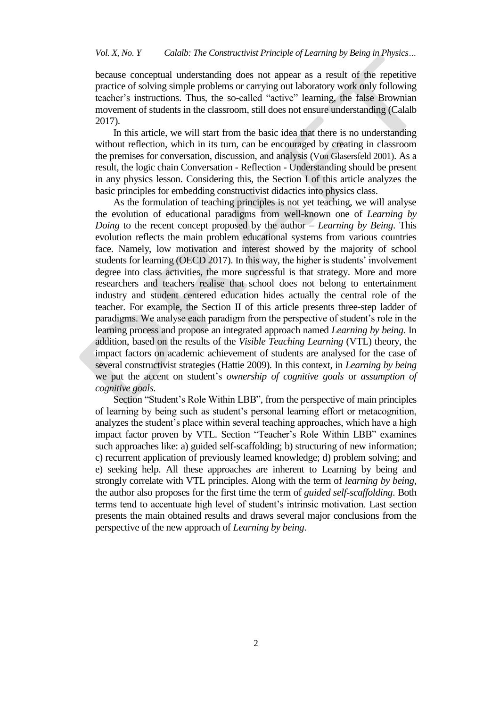because conceptual understanding does not appear as a result of the repetitive practice of solving simple problems or carrying out laboratory work only following teacher's instructions. Thus, the so-called "active" learning, the false Brownian movement of students in the classroom, still does not ensure understanding (Calalb 2017).

In this article, we will start from the basic idea that there is no understanding without reflection, which in its turn, can be encouraged by creating in classroom the premises for conversation, discussion, and analysis (Von Glasersfeld 2001). As a result, the logic chain Conversation - Reflection - Understanding should be present in any physics lesson. Considering this, the Section I of this article analyzes the basic principles for embedding constructivist didactics into physics class.

As the formulation of teaching principles is not yet teaching, we will analyse the evolution of educational paradigms from well-known one of *Learning by Doing* to the recent concept proposed by the author – *Learning by Being*. This evolution reflects the main problem educational systems from various countries face. Namely, low motivation and interest showed by the majority of school students for learning (OECD 2017). In this way, the higher is students' involvement degree into class activities, the more successful is that strategy. More and more researchers and teachers realise that school does not belong to entertainment industry and student centered education hides actually the central role of the teacher. For example, the Section II of this article presents three-step ladder of paradigms. We analyse each paradigm from the perspective of student's role in the learning process and propose an integrated approach named *Learning by being*. In addition, based on the results of the *Visible Teaching Learning* (VTL) theory, the impact factors on academic achievement of students are analysed for the case of several constructivist strategies (Hattie 2009). In this context, in *Learning by being* we put the accent on student's *ownership of cognitive goals* or *assumption of cognitive goals.*

Section "Student's Role Within LBB", from the perspective of main principles of learning by being such as student's personal learning effort or metacognition, analyzes the student's place within several teaching approaches, which have a high impact factor proven by VTL. Section "Teacher's Role Within LBB" examines such approaches like: a) guided self-scaffolding; b) structuring of new information; c) recurrent application of previously learned knowledge; d) problem solving; and e) seeking help. All these approaches are inherent to Learning by being and strongly correlate with VTL principles. Along with the term of *learning by being*, the author also proposes for the first time the term of *guided self-scaffolding*. Both terms tend to accentuate high level of student's intrinsic motivation. Last section presents the main obtained results and draws several major conclusions from the perspective of the new approach of *Learning by being*.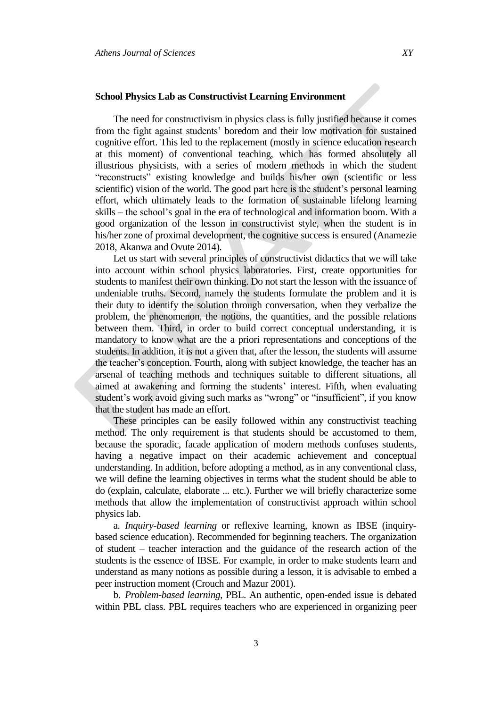## **School Physics Lab as Constructivist Learning Environment**

The need for constructivism in physics class is fully justified because it comes from the fight against students' boredom and their low motivation for sustained cognitive effort. This led to the replacement (mostly in science education research at this moment) of conventional teaching, which has formed absolutely all illustrious physicists, with a series of modern methods in which the student "reconstructs" existing knowledge and builds his/her own (scientific or less scientific) vision of the world. The good part here is the student's personal learning effort, which ultimately leads to the formation of sustainable lifelong learning skills – the school's goal in the era of technological and information boom. With a good organization of the lesson in constructivist style, when the student is in his/her zone of proximal development, the cognitive success is ensured (Anamezie 2018, Akanwa and Ovute 2014).

Let us start with several principles of constructivist didactics that we will take into account within school physics laboratories. First, create opportunities for students to manifest their own thinking. Do not start the lesson with the issuance of undeniable truths. Second, namely the students formulate the problem and it is their duty to identify the solution through conversation, when they verbalize the problem, the phenomenon, the notions, the quantities, and the possible relations between them. Third, in order to build correct conceptual understanding, it is mandatory to know what are the a priori representations and conceptions of the students. In addition, it is not a given that, after the lesson, the students will assume the teacher's conception. Fourth, along with subject knowledge, the teacher has an arsenal of teaching methods and techniques suitable to different situations, all aimed at awakening and forming the students' interest. Fifth, when evaluating student's work avoid giving such marks as "wrong" or "insufficient", if you know that the student has made an effort.

These principles can be easily followed within any constructivist teaching method. The only requirement is that students should be accustomed to them, because the sporadic, facade application of modern methods confuses students, having a negative impact on their academic achievement and conceptual understanding. In addition, before adopting a method, as in any conventional class, we will define the learning objectives in terms what the student should be able to do (explain, calculate, elaborate ... etc.). Further we will briefly characterize some methods that allow the implementation of constructivist approach within school physics lab.

a. *Inquiry-based learning* or reflexive learning, known as IBSE (inquirybased science education). Recommended for beginning teachers. The organization of student – teacher interaction and the guidance of the research action of the students is the essence of IBSE. For example, in order to make students learn and understand as many notions as possible during a lesson, it is advisable to embed a peer instruction moment (Crouch and Mazur 2001).

b. *Problem-based learning*, PBL. An authentic, open-ended issue is debated within PBL class. PBL requires teachers who are experienced in organizing peer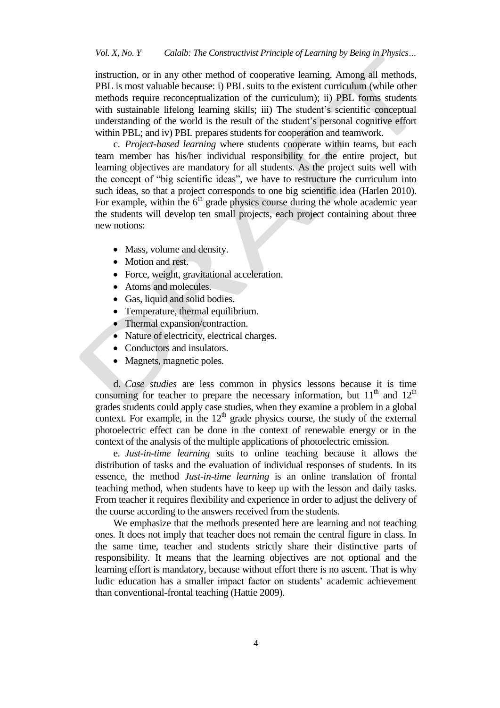instruction, or in any other method of cooperative learning. Among all methods, PBL is most valuable because: i) PBL suits to the existent curriculum (while other methods require reconceptualization of the curriculum); ii) PBL forms students with sustainable lifelong learning skills; iii) The student's scientific conceptual understanding of the world is the result of the student's personal cognitive effort within PBL; and iv) PBL prepares students for cooperation and teamwork.

c. *Project-based learning* where students cooperate within teams, but each team member has his/her individual responsibility for the entire project, but learning objectives are mandatory for all students. As the project suits well with the concept of "big scientific ideas", we have to restructure the curriculum into such ideas, so that a project corresponds to one big scientific idea (Harlen 2010). For example, within the  $6<sup>th</sup>$  grade physics course during the whole academic year the students will develop ten small projects, each project containing about three new notions:

- Mass, volume and density.
- Motion and rest.
- Force, weight, gravitational acceleration.
- Atoms and molecules.
- Gas, liquid and solid bodies.
- Temperature, thermal equilibrium.
- Thermal expansion/contraction.
- Nature of electricity, electrical charges.
- Conductors and insulators.
- Magnets, magnetic poles.

d. *Case studies* are less common in physics lessons because it is time consuming for teacher to prepare the necessary information, but  $11<sup>th</sup>$  and  $12<sup>th</sup>$ grades students could apply case studies, when they examine a problem in a global context. For example, in the  $12<sup>th</sup>$  grade physics course, the study of the external photoelectric effect can be done in the context of renewable energy or in the context of the analysis of the multiple applications of photoelectric emission.

e. *Just-in-time learning* suits to online teaching because it allows the distribution of tasks and the evaluation of individual responses of students. In its essence, the method *Just-in-time learning* is an online translation of frontal teaching method, when students have to keep up with the lesson and daily tasks. From teacher it requires flexibility and experience in order to adjust the delivery of the course according to the answers received from the students.

We emphasize that the methods presented here are learning and not teaching ones. It does not imply that teacher does not remain the central figure in class. In the same time, teacher and students strictly share their distinctive parts of responsibility. It means that the learning objectives are not optional and the learning effort is mandatory, because without effort there is no ascent. That is why ludic education has a smaller impact factor on students' academic achievement than conventional-frontal teaching (Hattie 2009).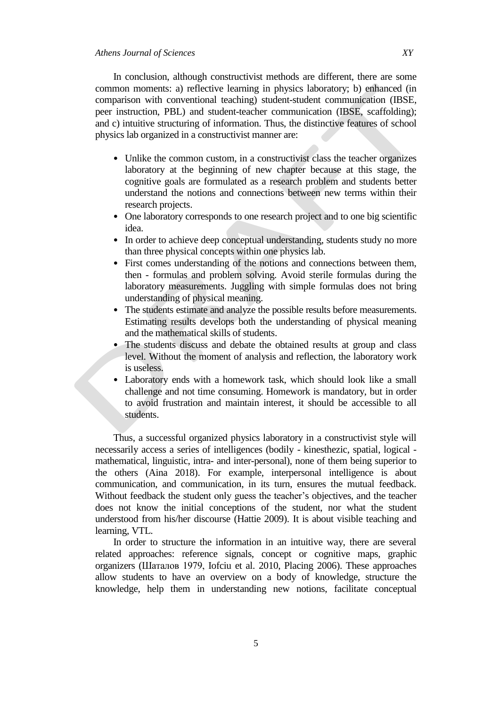In conclusion, although constructivist methods are different, there are some common moments: a) reflective learning in physics laboratory; b) enhanced (in comparison with conventional teaching) student-student communication (IBSE, peer instruction, PBL) and student-teacher communication (IBSE, scaffolding); and c) intuitive structuring of information. Thus, the distinctive features of school physics lab organized in a constructivist manner are:

- Unlike the common custom, in a constructivist class the teacher organizes laboratory at the beginning of new chapter because at this stage, the cognitive goals are formulated as a research problem and students better understand the notions and connections between new terms within their research projects.
- One laboratory corresponds to one research project and to one big scientific idea.
- In order to achieve deep conceptual understanding, students study no more than three physical concepts within one physics lab.
- First comes understanding of the notions and connections between them, then - formulas and problem solving. Avoid sterile formulas during the laboratory measurements. Juggling with simple formulas does not bring understanding of physical meaning.
- The students estimate and analyze the possible results before measurements. Estimating results develops both the understanding of physical meaning and the mathematical skills of students.
- The students discuss and debate the obtained results at group and class level. Without the moment of analysis and reflection, the laboratory work is useless.
- Laboratory ends with a homework task, which should look like a small challenge and not time consuming. Homework is mandatory, but in order to avoid frustration and maintain interest, it should be accessible to all students.

Thus, a successful organized physics laboratory in a constructivist style will necessarily access a series of intelligences (bodily - kinesthezic, spatial, logical mathematical, linguistic, intra- and inter-personal), none of them being superior to the others (Aina 2018). For example, interpersonal intelligence is about communication, and communication, in its turn, ensures the mutual feedback. Without feedback the student only guess the teacher's objectives, and the teacher does not know the initial conceptions of the student, nor what the student understood from his/her discourse (Hattie 2009). It is about visible teaching and learning, VTL.

In order to structure the information in an intuitive way, there are several related approaches: reference signals, concept or cognitive maps, graphic organizers (Шаталов 1979, Iofciu et al. 2010, Placing 2006). These approaches allow students to have an overview on a body of knowledge, structure the knowledge, help them in understanding new notions, facilitate conceptual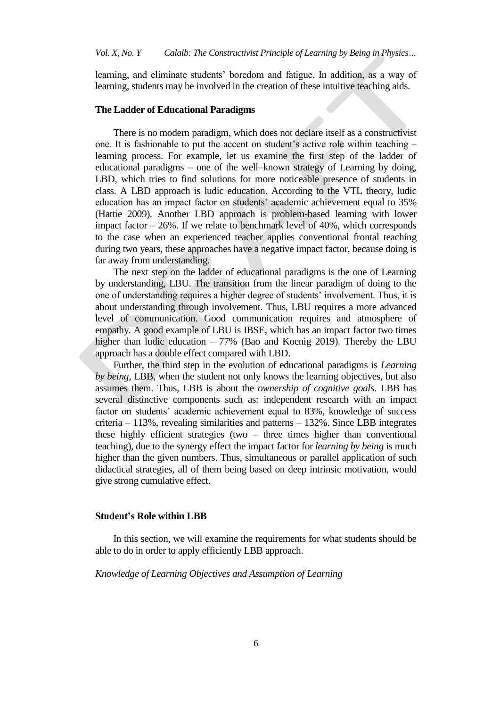learning, and eliminate students' boredom and fatigue. In addition, as a way of learning, students may be involved in the creation of these intuitive teaching aids.

#### **The Ladder of Educational Paradigms**

There is no modern paradigm, which does not declare itself as a constructivist one. It is fashionable to put the accent on student's active role within teaching – learning process. For example, let us examine the first step of the ladder of educational paradigms – one of the well–known strategy of Learning by doing, LBD, which tries to find solutions for more noticeable presence of students in class. A LBD approach is ludic education. According to the VTL theory, ludic education has an impact factor on students' academic achievement equal to 35% (Hattie 2009). Another LBD approach is problem-based learning with lower impact factor – 26%. If we relate to benchmark level of 40%, which corresponds to the case when an experienced teacher applies conventional frontal teaching during two years, these approaches have a negative impact factor, because doing is far away from understanding.

The next step on the ladder of educational paradigms is the one of Learning by understanding, LBU. The transition from the linear paradigm of doing to the one of understanding requires a higher degree of students' involvement. Thus, it is about understanding through involvement. Thus, LBU requires a more advanced level of communication. Good communication requires and atmosphere of empathy. A good example of LBU is IBSE, which has an impact factor two times higher than ludic education – 77% (Bao and Koenig 2019). Thereby the LBU approach has a double effect compared with LBD.

Further, the third step in the evolution of educational paradigms is *Learning by being,* LBB, when the student not only knows the learning objectives, but also assumes them. Thus, LBB is about the *ownership of cognitive goals*. LBB has several distinctive components such as: independent research with an impact factor on students' academic achievement equal to 83%, knowledge of success criteria – 113%, revealing similarities and patterns – 132%. Since LBB integrates these highly efficient strategies (two – three times higher than conventional teaching), due to the synergy effect the impact factor for *learning by being* is much higher than the given numbers. Thus, simultaneous or parallel application of such didactical strategies, all of them being based on deep intrinsic motivation, would give strong cumulative effect.

#### **Student's Role within LBB**

In this section, we will examine the requirements for what students should be able to do in order to apply efficiently LBB approach.

#### *Knowledge of Learning Objectives and Assumption of Learning*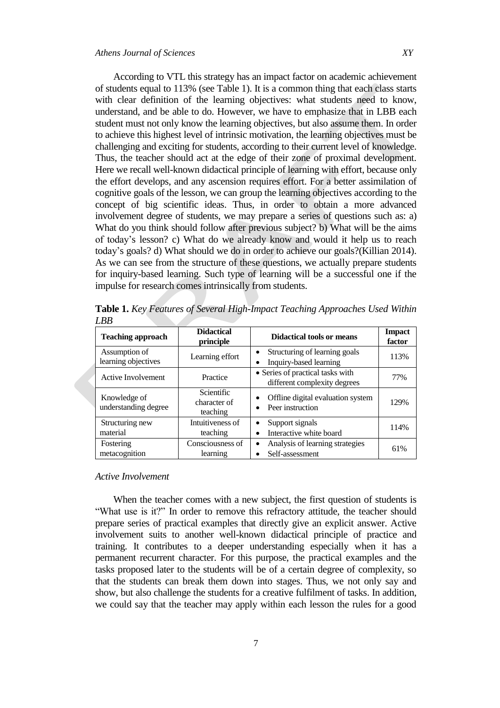According to VTL this strategy has an impact factor on academic achievement of students equal to 113% (see Table 1). It is a common thing that each class starts with clear definition of the learning objectives: what students need to know, understand, and be able to do. However, we have to emphasize that in LBB each student must not only know the learning objectives, but also assume them. In order to achieve this highest level of intrinsic motivation, the learning objectives must be challenging and exciting for students, according to their current level of knowledge. Thus, the teacher should act at the edge of their zone of proximal development. Here we recall well-known didactical principle of learning with effort, because only the effort develops, and any ascension requires effort. For a better assimilation of cognitive goals of the lesson, we can group the learning objectives according to the concept of big scientific ideas. Thus, in order to obtain a more advanced involvement degree of students, we may prepare a series of questions such as: a) What do you think should follow after previous subject? b) What will be the aims of today's lesson? c) What do we already know and would it help us to reach today's goals? d) What should we do in order to achieve our goals?(Killian 2014). As we can see from the structure of these questions, we actually prepare students for inquiry-based learning. Such type of learning will be a successful one if the impulse for research comes intrinsically from students.

| <b>Teaching approach</b>             | <b>Didactical</b><br>principle         | <b>Didactical tools or means</b>                                 | <b>Impact</b><br>factor |
|--------------------------------------|----------------------------------------|------------------------------------------------------------------|-------------------------|
| Assumption of<br>learning objectives | Learning effort                        | Structuring of learning goals<br>Inquiry-based learning          | 113%                    |
| <b>Active Involvement</b>            | Practice                               | • Series of practical tasks with<br>different complexity degrees | 77%                     |
| Knowledge of<br>understanding degree | Scientific<br>character of<br>teaching | Offline digital evaluation system<br>Peer instruction            | 129%                    |
| Structuring new<br>material          | Intuitiveness of<br>teaching           | Support signals<br>٠<br>Interactive white board                  | 114%                    |
| Fostering<br>metacognition           | Consciousness of<br>learning           | Analysis of learning strategies<br>$\bullet$<br>Self-assessment  | 61%                     |

**Table 1.** *Key Features of Several High-Impact Teaching Approaches Used Within LBB*

## *Active Involvement*

When the teacher comes with a new subject, the first question of students is "What use is it?" In order to remove this refractory attitude, the teacher should prepare series of practical examples that directly give an explicit answer. Active involvement suits to another well-known didactical principle of practice and training. It contributes to a deeper understanding especially when it has a permanent recurrent character. For this purpose, the practical examples and the tasks proposed later to the students will be of a certain degree of complexity, so that the students can break them down into stages. Thus, we not only say and show, but also challenge the students for a creative fulfilment of tasks. In addition, we could say that the teacher may apply within each lesson the rules for a good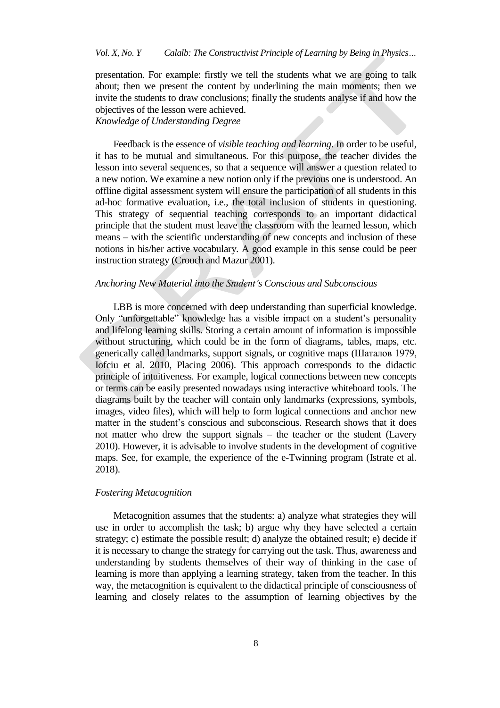## *Vol. X, No. Y Calalb: The Constructivist Principle of Learning by Being in Physics…*

presentation. For example: firstly we tell the students what we are going to talk about; then we present the content by underlining the main moments; then we invite the students to draw conclusions; finally the students analyse if and how the objectives of the lesson were achieved.

# *Knowledge of Understanding Degree*

Feedback is the essence of *visible teaching and learning*. In order to be useful, it has to be mutual and simultaneous. For this purpose, the teacher divides the lesson into several sequences, so that a sequence will answer a question related to a new notion. We examine a new notion only if the previous one is understood. An offline digital assessment system will ensure the participation of all students in this ad-hoc formative evaluation, i.e., the total inclusion of students in questioning. This strategy of sequential teaching corresponds to an important didactical principle that the student must leave the classroom with the learned lesson, which means – with the scientific understanding of new concepts and inclusion of these notions in his/her active vocabulary. A good example in this sense could be peer instruction strategy (Crouch and Mazur 2001).

#### *Anchoring New Material into the Student's Conscious and Subconscious*

LBB is more concerned with deep understanding than superficial knowledge. Only "unforgettable" knowledge has a visible impact on a student's personality and lifelong learning skills. Storing a certain amount of information is impossible without structuring, which could be in the form of diagrams, tables, maps, etc. generically called landmarks, support signals, or cognitive maps (Шаталов 1979, Iofciu et al. 2010, Placing 2006). This approach corresponds to the didactic principle of intuitiveness. For example, logical connections between new concepts or terms can be easily presented nowadays using interactive whiteboard tools. The diagrams built by the teacher will contain only landmarks (expressions, symbols, images, video files), which will help to form logical connections and anchor new matter in the student's conscious and subconscious. Research shows that it does not matter who drew the support signals – the teacher or the student (Lavery 2010). However, it is advisable to involve students in the development of cognitive maps. See, for example, the experience of the e-Twinning program (Istrate et al. 2018).

#### *Fostering Metacognition*

Metacognition assumes that the students: a) analyze what strategies they will use in order to accomplish the task; b) argue why they have selected a certain strategy; c) estimate the possible result; d) analyze the obtained result; e) decide if it is necessary to change the strategy for carrying out the task. Thus, awareness and understanding by students themselves of their way of thinking in the case of learning is more than applying a learning strategy, taken from the teacher. In this way, the metacognition is equivalent to the didactical principle of consciousness of learning and closely relates to the assumption of learning objectives by the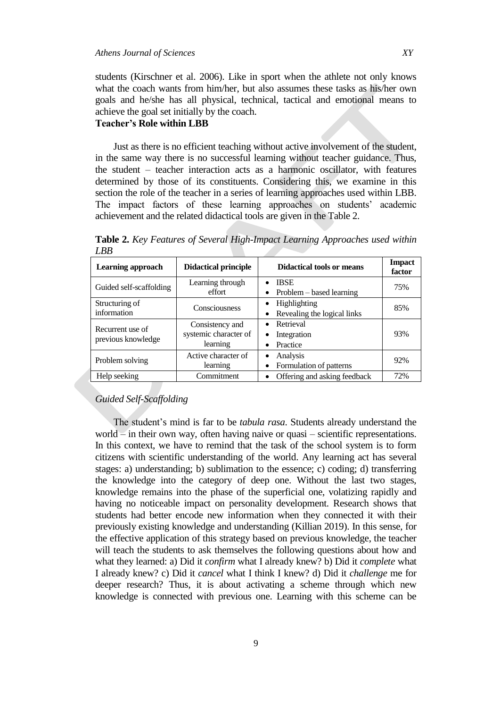students (Kirschner et al. 2006). Like in sport when the athlete not only knows what the coach wants from him/her, but also assumes these tasks as his/her own goals and he/she has all physical, technical, tactical and emotional means to achieve the goal set initially by the coach.

# **Teacher's Role within LBB**

Just as there is no efficient teaching without active involvement of the student, in the same way there is no successful learning without teacher guidance. Thus, the student – teacher interaction acts as a harmonic oscillator, with features determined by those of its constituents. Considering this, we examine in this section the role of the teacher in a series of learning approaches used within LBB. The impact factors of these learning approaches on students' academic achievement and the related didactical tools are given in the Table 2.

**Table 2.** *Key Features of Several High-Impact Learning Approaches used within LBB*

| Learning approach                      | <b>Didactical principle</b>                          | Didactical tools or means                   | <b>Impact</b><br>factor |
|----------------------------------------|------------------------------------------------------|---------------------------------------------|-------------------------|
| Guided self-scaffolding                | Learning through<br>effort                           | <b>IBSE</b><br>Problem – based learning     | 75%                     |
| Structuring of<br>information          | Consciousness                                        | Highlighting<br>Revealing the logical links | 85%                     |
| Recurrent use of<br>previous knowledge | Consistency and<br>systemic character of<br>learning | Retrieval<br>Integration<br>Practice        | 93%                     |
| Problem solving                        | Active character of<br>learning                      | Analysis<br>Formulation of patterns         | 92%                     |
| Help seeking                           | Commitment                                           | Offering and asking feedback                | 72%                     |

## *Guided Self-Scaffolding*

The student's mind is far to be *tabula rasa*. Students already understand the world – in their own way, often having naive or quasi – scientific representations. In this context, we have to remind that the task of the school system is to form citizens with scientific understanding of the world. Any learning act has several stages: a) understanding; b) sublimation to the essence; c) coding; d) transferring the knowledge into the category of deep one. Without the last two stages, knowledge remains into the phase of the superficial one, volatizing rapidly and having no noticeable impact on personality development. Research shows that students had better encode new information when they connected it with their previously existing knowledge and understanding (Killian 2019). In this sense, for the effective application of this strategy based on previous knowledge, the teacher will teach the students to ask themselves the following questions about how and what they learned: a) Did it *confirm* what I already knew? b) Did it *complete* what I already knew? c) Did it *cancel* what I think I knew? d) Did it *challenge* me for deeper research? Thus, it is about activating a scheme through which new knowledge is connected with previous one. Learning with this scheme can be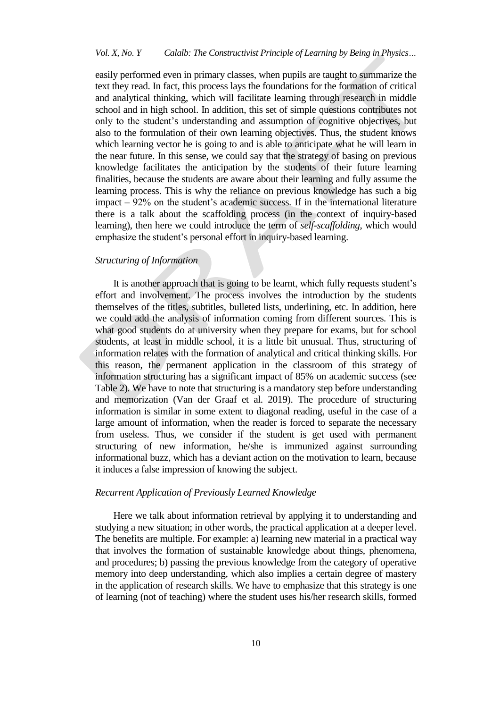## *Vol. X, No. Y Calalb: The Constructivist Principle of Learning by Being in Physics…*

easily performed even in primary classes, when pupils are taught to summarize the text they read. In fact, this process lays the foundations for the formation of critical and analytical thinking, which will facilitate learning through research in middle school and in high school. In addition, this set of simple questions contributes not only to the student's understanding and assumption of cognitive objectives, but also to the formulation of their own learning objectives. Thus, the student knows which learning vector he is going to and is able to anticipate what he will learn in the near future. In this sense, we could say that the strategy of basing on previous knowledge facilitates the anticipation by the students of their future learning finalities, because the students are aware about their learning and fully assume the learning process. This is why the reliance on previous knowledge has such a big impact – 92% on the student's academic success. If in the international literature there is a talk about the scaffolding process (in the context of inquiry-based learning), then here we could introduce the term of *self-scaffolding*, which would emphasize the student's personal effort in inquiry-based learning.

### *Structuring of Information*

It is another approach that is going to be learnt, which fully requests student's effort and involvement. The process involves the introduction by the students themselves of the titles, subtitles, bulleted lists, underlining, etc. In addition, here we could add the analysis of information coming from different sources. This is what good students do at university when they prepare for exams, but for school students, at least in middle school, it is a little bit unusual. Thus, structuring of information relates with the formation of analytical and critical thinking skills. For this reason, the permanent application in the classroom of this strategy of information structuring has a significant impact of 85% on academic success (see Table 2). We have to note that structuring is a mandatory step before understanding and memorization (Van der Graaf et al. 2019). The procedure of structuring information is similar in some extent to diagonal reading, useful in the case of a large amount of information, when the reader is forced to separate the necessary from useless. Thus, we consider if the student is get used with permanent structuring of new information, he/she is immunized against surrounding informational buzz, which has a deviant action on the motivation to learn, because it induces a false impression of knowing the subject.

### *Recurrent Application of Previously Learned Knowledge*

Here we talk about information retrieval by applying it to understanding and studying a new situation; in other words, the practical application at a deeper level. The benefits are multiple. For example: a) learning new material in a practical way that involves the formation of sustainable knowledge about things, phenomena, and procedures; b) passing the previous knowledge from the category of operative memory into deep understanding, which also implies a certain degree of mastery in the application of research skills. We have to emphasize that this strategy is one of learning (not of teaching) where the student uses his/her research skills, formed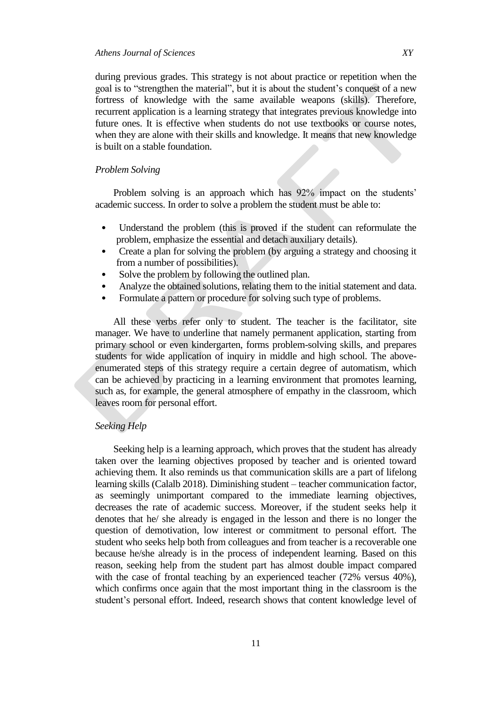during previous grades. This strategy is not about practice or repetition when the goal is to "strengthen the material", but it is about the student's conquest of a new fortress of knowledge with the same available weapons (skills). Therefore, recurrent application is a learning strategy that integrates previous knowledge into future ones. It is effective when students do not use textbooks or course notes, when they are alone with their skills and knowledge. It means that new knowledge is built on a stable foundation.

## *Problem Solving*

Problem solving is an approach which has 92% impact on the students' academic success. In order to solve a problem the student must be able to:

- Understand the problem (this is proved if the student can reformulate the problem, emphasize the essential and detach auxiliary details).
- Create a plan for solving the problem (by arguing a strategy and choosing it from a number of possibilities).
- Solve the problem by following the outlined plan.
- Analyze the obtained solutions, relating them to the initial statement and data.
- Formulate a pattern or procedure for solving such type of problems.

All these verbs refer only to student. The teacher is the facilitator, site manager. We have to underline that namely permanent application, starting from primary school or even kindergarten, forms problem-solving skills, and prepares students for wide application of inquiry in middle and high school. The aboveenumerated steps of this strategy require a certain degree of automatism, which can be achieved by practicing in a learning environment that promotes learning, such as, for example, the general atmosphere of empathy in the classroom, which leaves room for personal effort.

## *Seeking Help*

Seeking help is a learning approach, which proves that the student has already taken over the learning objectives proposed by teacher and is oriented toward achieving them. It also reminds us that communication skills are a part of lifelong learning skills (Calalb 2018). Diminishing student – teacher communication factor, as seemingly unimportant compared to the immediate learning objectives, decreases the rate of academic success. Moreover, if the student seeks help it denotes that he/ she already is engaged in the lesson and there is no longer the question of demotivation, low interest or commitment to personal effort. The student who seeks help both from colleagues and from teacher is a recoverable one because he/she already is in the process of independent learning. Based on this reason, seeking help from the student part has almost double impact compared with the case of frontal teaching by an experienced teacher (72% versus 40%), which confirms once again that the most important thing in the classroom is the student's personal effort. Indeed, research shows that content knowledge level of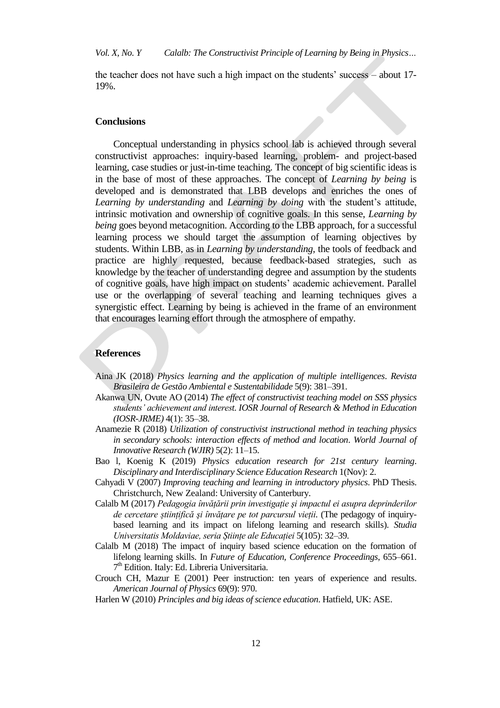the teacher does not have such a high impact on the students' success – about 17- 19%.

#### **Conclusions**

Conceptual understanding in physics school lab is achieved through several constructivist approaches: inquiry-based learning, problem- and project-based learning, case studies or just-in-time teaching. The concept of big scientific ideas is in the base of most of these approaches. The concept of *Learning by being* is developed and is demonstrated that LBB develops and enriches the ones of *Learning by understanding* and *Learning by doing* with the student's attitude, intrinsic motivation and ownership of cognitive goals. In this sense, *Learning by being* goes beyond metacognition. According to the LBB approach, for a successful learning process we should target the assumption of learning objectives by students. Within LBB, as in *Learning by understanding*, the tools of feedback and practice are highly requested, because feedback-based strategies, such as knowledge by the teacher of understanding degree and assumption by the students of cognitive goals, have high impact on students' academic achievement. Parallel use or the overlapping of several teaching and learning techniques gives a synergistic effect. Learning by being is achieved in the frame of an environment that encourages learning effort through the atmosphere of empathy.

#### **References**

- Aina JK (2018) *Physics learning and the application of multiple intelligences*. *Revista Brasileira de Gestão Ambiental e Sustentabilidade* 5(9): 381–391.
- Akanwa UN, Ovute AO (2014) *The effect of constructivist teaching model on SSS physics students' achievement and interest. IOSR Journal of Research & Method in Education (IOSR-JRME)* 4(1): 35–38.
- Anamezie R (2018) *Utilization of constructivist instructional method in teaching physics in secondary schools: interaction effects of method and location*. *World Journal of Innovative Research (WJIR)* 5(2): 11–15.
- Bao l, Koenig K (2019) *Physics education research for 21st century learning*. *Disciplinary and Interdisciplinary Science Education Research* 1(Nov): 2.
- Cahyadi V (2007) *Improving teaching and learning in introductory physics*. PhD Thesis. Christchurch, New Zealand: University of Canterbury.
- Calalb M (2017) *Pedagogia învățării prin investigație şi impactul ei asupra deprinderilor de cercetare științifică şi învățare pe tot parcursul vieții.* (The pedagogy of inquirybased learning and its impact on lifelong learning and research skills). *Studia Universitatis Moldaviae, seria Științe ale Educației* 5(105): 32–39.
- Calalb M (2018) The impact of inquiry based science education on the formation of lifelong learning skills. In *Future of Education, Conference Proceedings*, 655–661. 7<sup>th</sup> Edition. Italy: Ed. Libreria Universitaria.
- Crouch CH, Mazur E (2001) Peer instruction: ten years of experience and results. *American Journal of Physics* 69(9): 970.
- Harlen W (2010) *Principles and big ideas of science education*. Hatfield, UK: ASE.